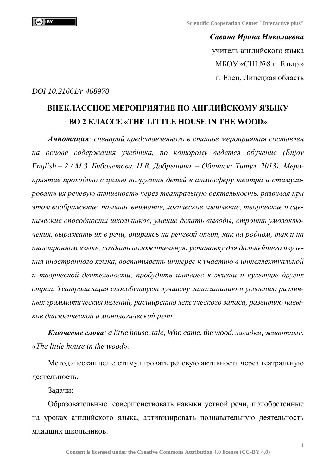*Савина Ирина Николаевна* учитель английского языка МБОУ «СШ №8 г. Ельца» г. Елец, Липецкая область

*DOI 10.21661/r-468970*

## **ВНЕКЛАССНОЕ МЕРОПРИЯТИЕ ПО АНГЛИЙСКОМУ ЯЗЫКУ ВО 2 КЛАССЕ «THE LITTLE HOUSE IN THE WOOD»**

*Аннотация: сценарий представленного в статье мероприятия составлен на основе содержания учебника, по которому ведется обучение (Enjoy English – 2 / М.З. Биболетова, И.В. Добрынина. – Обнинск: Титул, 2013). Мероприятие проходило с целью погрузить детей в атмосферу театра и стимулировать их речевую активность через театральную деятельность, развивая при этом воображение, память, внимание, логическое мышление, творческие и сценические способности школьников, умение делать выводы, строить умозаключения, выражать их в речи, опираясь на речевой опыт, как на родном, так и на иностранном языке, создать положительную установку для дальнейшего изучения иностранного языка, воспитывать интерес к участию в интеллектуальной и творческой деятельности, пробудить интерес к жизни и культуре других стран. Театрализация способствует лучшему запоминанию и усвоению различных грамматических явлений, расширению лексического запаса, развитию навыков диалогической и монологической речи.*

*Ключевые слова: a little house, tale, Who came, the wood, загадки, животные, «The little house in the wood».*

Методическая цель: стимулировать речевую активность через театральную деятельность.

Задачи:

Образовательные: совершенствовать навыки устной речи, приобретенные на уроках английского языка, активизировать познавательную деятельность младших школьников.

**1**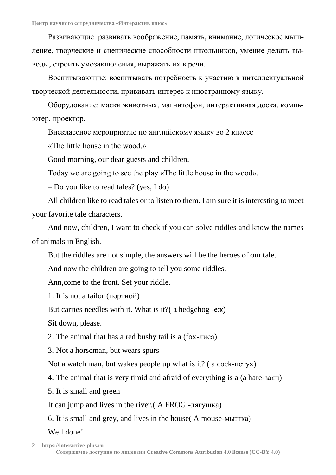Развивающие: развивать воображение, память, внимание, логическое мышление, творческие и сценические способности школьников, умение делать выводы, строить умозаключения, выражать их в речи.

Воспитывающие: воспитывать потребность к участию в интеллектуальной творческой деятельности, прививать интерес к иностранному языку.

Оборудование: маски животных, магнитофон, интерактивная доска. компьютер, проектор.

Внеклассное мероприятие по английскому языку во 2 классе

«The little house in the wood.»

Good morning, our dear guests and children.

Today we are going to see the play «The little house in the wood».

– Do you like to read tales? (yes, I do)

All children like to read tales or to listen to them. I am sure it is interesting to meet your favorite tale characters.

And now, children, I want to check if you can solve riddles and know the names of animals in English.

But the riddles are not simple, the answers will be the heroes of our tale.

And now the children are going to tell you some riddles.

Ann,come to the front. Set your riddle.

1. It is not a tailor (портной)

But carries needles with it. What is it?( а hedgehog -еж)

Sit down, please.

2. The animal that has a red bushy tail is a (fox-лиса)

3. Not a horseman, but wears spurs

Not a watch man, but wakes people up what is it? ( а cock-петух)

4. The animal that is very timid and afraid of everything is a (a hare-заяц)

5. It is small and green

It can jump and lives in the river.( A FROG -лягушка)

6. It is small and grey, and lives in the house( A mouse-мышка)

## Well done!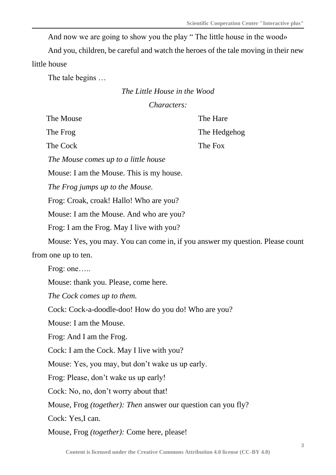And now we are going to show you the play " The little house in the wood»

And you, children, be careful and watch the heroes of the tale moving in their new little house

The tale begins …

## *The Little House in the Wood Characters:*

| The Mouse                  |                                                      | The Hare                                                                      |
|----------------------------|------------------------------------------------------|-------------------------------------------------------------------------------|
| The Frog                   |                                                      | The Hedgehog                                                                  |
| The Cock                   |                                                      | The Fox                                                                       |
|                            | The Mouse comes up to a little house                 |                                                                               |
|                            | Mouse: I am the Mouse. This is my house.             |                                                                               |
|                            | The Frog jumps up to the Mouse.                      |                                                                               |
|                            | Frog: Croak, croak! Hallo! Who are you?              |                                                                               |
|                            | Mouse: I am the Mouse. And who are you?              |                                                                               |
|                            | Frog: I am the Frog. May I live with you?            |                                                                               |
|                            |                                                      | Mouse: Yes, you may. You can come in, if you answer my question. Please count |
| from one up to ten.        |                                                      |                                                                               |
| Frog: one                  |                                                      |                                                                               |
|                            | Mouse: thank you. Please, come here.                 |                                                                               |
| The Cock comes up to them. |                                                      |                                                                               |
|                            | Cock: Cock-a-doodle-doo! How do you do! Who are you? |                                                                               |
| Mouse: I am the Mouse.     |                                                      |                                                                               |
| Frog: And I am the Frog.   |                                                      |                                                                               |
|                            | Cock: I am the Cock. May I live with you?            |                                                                               |
|                            | Mouse: Yes, you may, but don't wake us up early.     |                                                                               |
|                            | Frog: Please, don't wake us up early!                |                                                                               |
|                            | Cock: No, no, don't worry about that!                |                                                                               |
|                            |                                                      | Mouse, Frog <i>(together): Then</i> answer our question can you fly?          |
| Cock: Yes, I can.          |                                                      |                                                                               |
|                            | Mouse, Frog (together): Come here, please!           |                                                                               |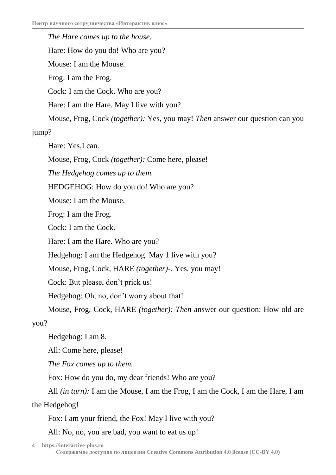*The Hare comes up to the house.* Hare: How do you do! Who are you? Mouse: I am the Mouse. Frog: I am the Frog. Cock: I am the Cock. Who are you? Hare: I am the Hare. May I live with you? Mouse, Frog, Cock *(together):* Yes, you may! *Then* answer our question can you jump? Hare: Yes,I can. Mouse, Frog, Cock *(together):* Come here, please! *The Hedgehog comes up to them.* HEDGEHOG: How do you do! Who are you? Mouse: I am the Mouse. Frog: I am the Frog. Cock: I am the Cock. Hare: I am the Hare. Who are you? Hedgehog: I am the Hedgehog. May 1 live with you? Mouse, Frog, Cock, HARE *(together)-.* Yes, you may! Cock: But please, don't prick us! Hedgehog: Oh, no, don't worry about that! Mouse, Frog, Cock, HARE *(together): Then* answer our question: How old are you? Hedgehog: I am 8. All: Come here, please!

*The Fox comes up to them.*

Fox: How do you do, my dear friends! Who are you?

All *(in turn):* I am the Mouse, I am the Frog, I am the Cock, I am the Hare, I am

the Hedgehog!

Fox: I am your friend, the Fox! May I live with you?

All: No, no, you are bad, you want to eat us up!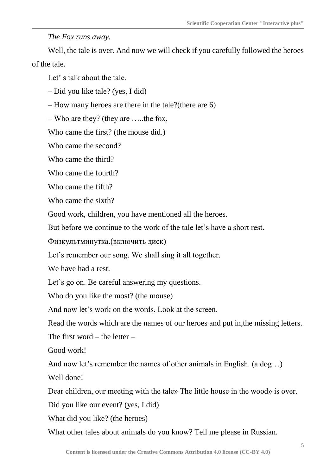*The Fox runs away.*

Well, the tale is over. And now we will check if you carefully followed the heroes of the tale.

Let's talk about the tale.

– Did you like tale? (yes, I did)

– How many heroes are there in the tale?(there are 6)

– Who are they? (they are …..the fox,

Who came the first? (the mouse did.)

Who came the second?

Who came the third?

Who came the fourth?

Who came the fifth?

Who came the sixth?

Good work, children, you have mentioned all the heroes.

But before we continue to the work of the tale let's have a short rest.

Физкультминутка.(включить диск)

Let's remember our song. We shall sing it all together.

We have had a rest.

Let's go on. Be careful answering my questions.

Who do you like the most? (the mouse)

And now let's work on the words. Look at the screen.

Read the words which are the names of our heroes and put in,the missing letters.

The first word – the letter –

Good work!

And now let's remember the names of other animals in English. (a dog…)

Well done!

Dear children, our meeting with the tale» The little house in the wood» is over.

Did you like our event? (yes, I did)

What did you like? (the heroes)

What other tales about animals do you know? Tell me please in Russian.